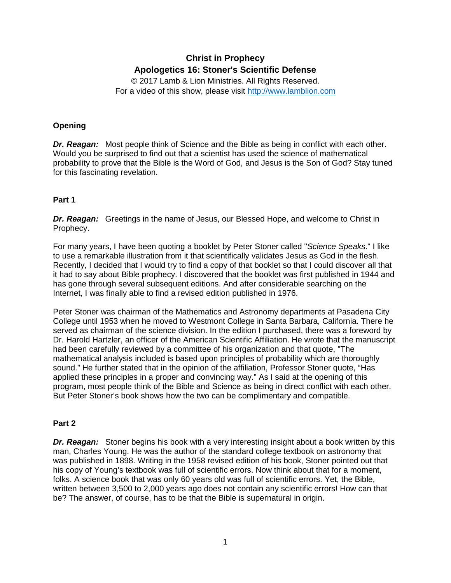# **Christ in Prophecy Apologetics 16: Stoner's Scientific Defense**

© 2017 Lamb & Lion Ministries. All Rights Reserved. For a video of this show, please visit [http://www.lamblion.com](http://www.lamblion.com/)

# **Opening**

*Dr. Reagan:* Most people think of Science and the Bible as being in conflict with each other. Would you be surprised to find out that a scientist has used the science of mathematical probability to prove that the Bible is the Word of God, and Jesus is the Son of God? Stay tuned for this fascinating revelation.

# **Part 1**

**Dr. Reagan:** Greetings in the name of Jesus, our Blessed Hope, and welcome to Christ in Prophecy.

For many years, I have been quoting a booklet by Peter Stoner called "*Science Speaks*." I like to use a remarkable illustration from it that scientifically validates Jesus as God in the flesh. Recently, I decided that I would try to find a copy of that booklet so that I could discover all that it had to say about Bible prophecy. I discovered that the booklet was first published in 1944 and has gone through several subsequent editions. And after considerable searching on the Internet, I was finally able to find a revised edition published in 1976.

Peter Stoner was chairman of the Mathematics and Astronomy departments at Pasadena City College until 1953 when he moved to Westmont College in Santa Barbara, California. There he served as chairman of the science division. In the edition I purchased, there was a foreword by Dr. Harold Hartzler, an officer of the American Scientific Affiliation. He wrote that the manuscript had been carefully reviewed by a committee of his organization and that quote, "The mathematical analysis included is based upon principles of probability which are thoroughly sound." He further stated that in the opinion of the affiliation, Professor Stoner quote, "Has applied these principles in a proper and convincing way." As I said at the opening of this program, most people think of the Bible and Science as being in direct conflict with each other. But Peter Stoner's book shows how the two can be complimentary and compatible.

## **Part 2**

*Dr. Reagan:* Stoner begins his book with a very interesting insight about a book written by this man, Charles Young. He was the author of the standard college textbook on astronomy that was published in 1898. Writing in the 1958 revised edition of his book, Stoner pointed out that his copy of Young's textbook was full of scientific errors. Now think about that for a moment, folks. A science book that was only 60 years old was full of scientific errors. Yet, the Bible, written between 3,500 to 2,000 years ago does not contain any scientific errors! How can that be? The answer, of course, has to be that the Bible is supernatural in origin.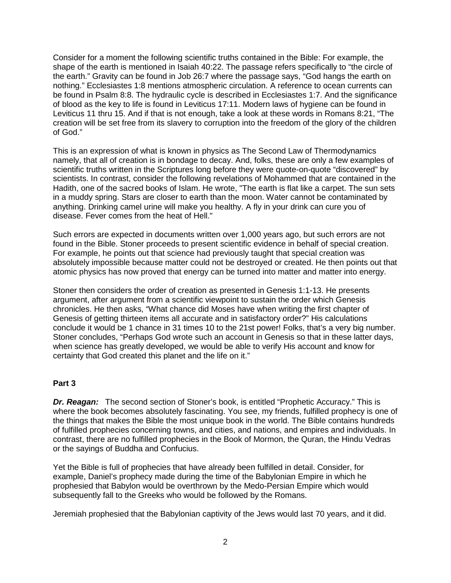Consider for a moment the following scientific truths contained in the Bible: For example, the shape of the earth is mentioned in Isaiah 40:22. The passage refers specifically to "the circle of the earth." Gravity can be found in Job 26:7 where the passage says, "God hangs the earth on nothing." Ecclesiastes 1:8 mentions atmospheric circulation. A reference to ocean currents can be found in Psalm 8:8. The hydraulic cycle is described in Ecclesiastes 1:7. And the significance of blood as the key to life is found in Leviticus 17:11. Modern laws of hygiene can be found in Leviticus 11 thru 15. And if that is not enough, take a look at these words in Romans 8:21, "The creation will be set free from its slavery to corruption into the freedom of the glory of the children of God."

This is an expression of what is known in physics as The Second Law of Thermodynamics namely, that all of creation is in bondage to decay. And, folks, these are only a few examples of scientific truths written in the Scriptures long before they were quote-on-quote "discovered" by scientists. In contrast, consider the following revelations of Mohammed that are contained in the Hadith, one of the sacred books of Islam. He wrote, "The earth is flat like a carpet. The sun sets in a muddy spring. Stars are closer to earth than the moon. Water cannot be contaminated by anything. Drinking camel urine will make you healthy. A fly in your drink can cure you of disease. Fever comes from the heat of Hell."

Such errors are expected in documents written over 1,000 years ago, but such errors are not found in the Bible. Stoner proceeds to present scientific evidence in behalf of special creation. For example, he points out that science had previously taught that special creation was absolutely impossible because matter could not be destroyed or created. He then points out that atomic physics has now proved that energy can be turned into matter and matter into energy.

Stoner then considers the order of creation as presented in Genesis 1:1-13. He presents argument, after argument from a scientific viewpoint to sustain the order which Genesis chronicles. He then asks, "What chance did Moses have when writing the first chapter of Genesis of getting thirteen items all accurate and in satisfactory order?" His calculations conclude it would be 1 chance in 31 times 10 to the 21st power! Folks, that's a very big number. Stoner concludes, "Perhaps God wrote such an account in Genesis so that in these latter days, when science has greatly developed, we would be able to verify His account and know for certainty that God created this planet and the life on it."

#### **Part 3**

*Dr. Reagan:* The second section of Stoner's book, is entitled "Prophetic Accuracy." This is where the book becomes absolutely fascinating. You see, my friends, fulfilled prophecy is one of the things that makes the Bible the most unique book in the world. The Bible contains hundreds of fulfilled prophecies concerning towns, and cities, and nations, and empires and individuals. In contrast, there are no fulfilled prophecies in the Book of Mormon, the Quran, the Hindu Vedras or the sayings of Buddha and Confucius.

Yet the Bible is full of prophecies that have already been fulfilled in detail. Consider, for example, Daniel's prophecy made during the time of the Babylonian Empire in which he prophesied that Babylon would be overthrown by the Medo-Persian Empire which would subsequently fall to the Greeks who would be followed by the Romans.

Jeremiah prophesied that the Babylonian captivity of the Jews would last 70 years, and it did.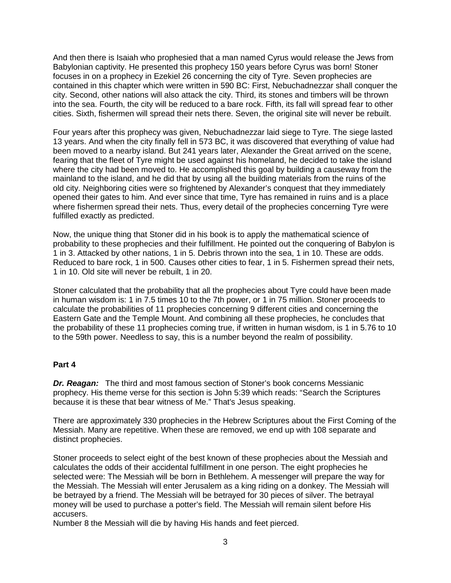And then there is Isaiah who prophesied that a man named Cyrus would release the Jews from Babylonian captivity. He presented this prophecy 150 years before Cyrus was born! Stoner focuses in on a prophecy in Ezekiel 26 concerning the city of Tyre. Seven prophecies are contained in this chapter which were written in 590 BC: First, Nebuchadnezzar shall conquer the city. Second, other nations will also attack the city. Third, its stones and timbers will be thrown into the sea. Fourth, the city will be reduced to a bare rock. Fifth, its fall will spread fear to other cities. Sixth, fishermen will spread their nets there. Seven, the original site will never be rebuilt.

Four years after this prophecy was given, Nebuchadnezzar laid siege to Tyre. The siege lasted 13 years. And when the city finally fell in 573 BC, it was discovered that everything of value had been moved to a nearby island. But 241 years later, Alexander the Great arrived on the scene, fearing that the fleet of Tyre might be used against his homeland, he decided to take the island where the city had been moved to. He accomplished this goal by building a causeway from the mainland to the island, and he did that by using all the building materials from the ruins of the old city. Neighboring cities were so frightened by Alexander's conquest that they immediately opened their gates to him. And ever since that time, Tyre has remained in ruins and is a place where fishermen spread their nets. Thus, every detail of the prophecies concerning Tyre were fulfilled exactly as predicted.

Now, the unique thing that Stoner did in his book is to apply the mathematical science of probability to these prophecies and their fulfillment. He pointed out the conquering of Babylon is 1 in 3. Attacked by other nations, 1 in 5. Debris thrown into the sea, 1 in 10. These are odds. Reduced to bare rock, 1 in 500. Causes other cities to fear, 1 in 5. Fishermen spread their nets, 1 in 10. Old site will never be rebuilt, 1 in 20.

Stoner calculated that the probability that all the prophecies about Tyre could have been made in human wisdom is: 1 in 7.5 times 10 to the 7th power, or 1 in 75 million. Stoner proceeds to calculate the probabilities of 11 prophecies concerning 9 different cities and concerning the Eastern Gate and the Temple Mount. And combining all these prophecies, he concludes that the probability of these 11 prophecies coming true, if written in human wisdom, is 1 in 5.76 to 10 to the 59th power. Needless to say, this is a number beyond the realm of possibility.

#### **Part 4**

*Dr. Reagan:* The third and most famous section of Stoner's book concerns Messianic prophecy. His theme verse for this section is John 5:39 which reads: "Search the Scriptures because it is these that bear witness of Me." That's Jesus speaking.

There are approximately 330 prophecies in the Hebrew Scriptures about the First Coming of the Messiah. Many are repetitive. When these are removed, we end up with 108 separate and distinct prophecies.

Stoner proceeds to select eight of the best known of these prophecies about the Messiah and calculates the odds of their accidental fulfillment in one person. The eight prophecies he selected were: The Messiah will be born in Bethlehem. A messenger will prepare the way for the Messiah. The Messiah will enter Jerusalem as a king riding on a donkey. The Messiah will be betrayed by a friend. The Messiah will be betrayed for 30 pieces of silver. The betrayal money will be used to purchase a potter's field. The Messiah will remain silent before His accusers.

Number 8 the Messiah will die by having His hands and feet pierced.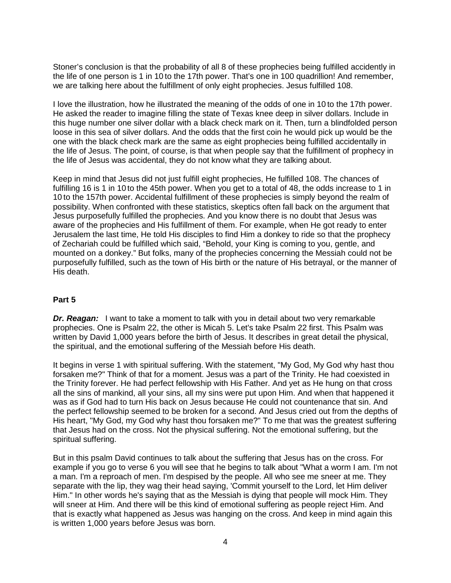Stoner's conclusion is that the probability of all 8 of these prophecies being fulfilled accidently in the life of one person is 1 in 10 to the 17th power. That's one in 100 quadrillion! And remember, we are talking here about the fulfillment of only eight prophecies. Jesus fulfilled 108.

I love the illustration, how he illustrated the meaning of the odds of one in 10 to the 17th power. He asked the reader to imagine filling the state of Texas knee deep in silver dollars. Include in this huge number one silver dollar with a black check mark on it. Then, turn a blindfolded person loose in this sea of silver dollars. And the odds that the first coin he would pick up would be the one with the black check mark are the same as eight prophecies being fulfilled accidentally in the life of Jesus. The point, of course, is that when people say that the fulfillment of prophecy in the life of Jesus was accidental, they do not know what they are talking about.

Keep in mind that Jesus did not just fulfill eight prophecies, He fulfilled 108. The chances of fulfilling 16 is 1 in 10 to the 45th power. When you get to a total of 48, the odds increase to 1 in 10 to the 157th power. Accidental fulfillment of these prophecies is simply beyond the realm of possibility. When confronted with these statistics, skeptics often fall back on the argument that Jesus purposefully fulfilled the prophecies. And you know there is no doubt that Jesus was aware of the prophecies and His fulfillment of them. For example, when He got ready to enter Jerusalem the last time, He told His disciples to find Him a donkey to ride so that the prophecy of Zechariah could be fulfilled which said, "Behold, your King is coming to you, gentle, and mounted on a donkey." But folks, many of the prophecies concerning the Messiah could not be purposefully fulfilled, such as the town of His birth or the nature of His betrayal, or the manner of His death.

#### **Part 5**

**Dr. Reagan:** I want to take a moment to talk with you in detail about two very remarkable prophecies. One is Psalm 22, the other is Micah 5. Let's take Psalm 22 first. This Psalm was written by David 1,000 years before the birth of Jesus. It describes in great detail the physical, the spiritual, and the emotional suffering of the Messiah before His death.

It begins in verse 1 with spiritual suffering. With the statement, "My God, My God why hast thou forsaken me?" Think of that for a moment. Jesus was a part of the Trinity. He had coexisted in the Trinity forever. He had perfect fellowship with His Father. And yet as He hung on that cross all the sins of mankind, all your sins, all my sins were put upon Him. And when that happened it was as if God had to turn His back on Jesus because He could not countenance that sin. And the perfect fellowship seemed to be broken for a second. And Jesus cried out from the depths of His heart, "My God, my God why hast thou forsaken me?" To me that was the greatest suffering that Jesus had on the cross. Not the physical suffering. Not the emotional suffering, but the spiritual suffering.

But in this psalm David continues to talk about the suffering that Jesus has on the cross. For example if you go to verse 6 you will see that he begins to talk about "What a worm I am. I'm not a man. I'm a reproach of men. I'm despised by the people. All who see me sneer at me. They separate with the lip, they wag their head saying, 'Commit yourself to the Lord, let Him deliver Him." In other words he's saying that as the Messiah is dying that people will mock Him. They will sneer at Him. And there will be this kind of emotional suffering as people reject Him. And that is exactly what happened as Jesus was hanging on the cross. And keep in mind again this is written 1,000 years before Jesus was born.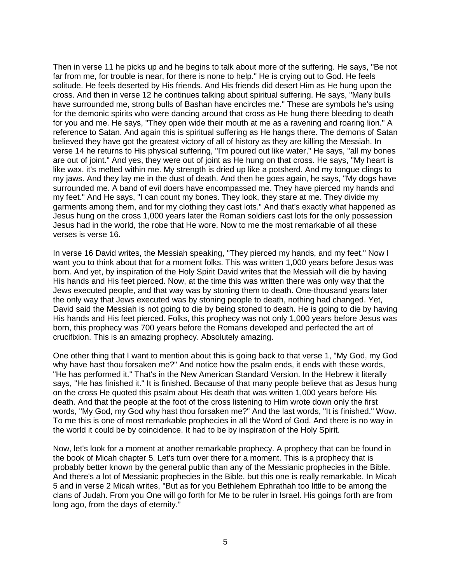Then in verse 11 he picks up and he begins to talk about more of the suffering. He says, "Be not far from me, for trouble is near, for there is none to help." He is crying out to God. He feels solitude. He feels deserted by His friends. And His friends did desert Him as He hung upon the cross. And then in verse 12 he continues talking about spiritual suffering. He says, "Many bulls have surrounded me, strong bulls of Bashan have encircles me." These are symbols he's using for the demonic spirits who were dancing around that cross as He hung there bleeding to death for you and me. He says, "They open wide their mouth at me as a ravening and roaring lion." A reference to Satan. And again this is spiritual suffering as He hangs there. The demons of Satan believed they have got the greatest victory of all of history as they are killing the Messiah. In verse 14 he returns to His physical suffering, "I'm poured out like water," He says, "all my bones are out of joint." And yes, they were out of joint as He hung on that cross. He says, "My heart is like wax, it's melted within me. My strength is dried up like a potsherd. And my tongue clings to my jaws. And they lay me in the dust of death. And then he goes again, he says, "My dogs have surrounded me. A band of evil doers have encompassed me. They have pierced my hands and my feet." And He says, "I can count my bones. They look, they stare at me. They divide my garments among them, and for my clothing they cast lots." And that's exactly what happened as Jesus hung on the cross 1,000 years later the Roman soldiers cast lots for the only possession Jesus had in the world, the robe that He wore. Now to me the most remarkable of all these verses is verse 16.

In verse 16 David writes, the Messiah speaking, "They pierced my hands, and my feet." Now I want you to think about that for a moment folks. This was written 1,000 years before Jesus was born. And yet, by inspiration of the Holy Spirit David writes that the Messiah will die by having His hands and His feet pierced. Now, at the time this was written there was only way that the Jews executed people, and that way was by stoning them to death. One-thousand years later the only way that Jews executed was by stoning people to death, nothing had changed. Yet, David said the Messiah is not going to die by being stoned to death. He is going to die by having His hands and His feet pierced. Folks, this prophecy was not only 1,000 years before Jesus was born, this prophecy was 700 years before the Romans developed and perfected the art of crucifixion. This is an amazing prophecy. Absolutely amazing.

One other thing that I want to mention about this is going back to that verse 1, "My God, my God why have hast thou forsaken me?" And notice how the psalm ends, it ends with these words, "He has performed it." That's in the New American Standard Version. In the Hebrew it literally says, "He has finished it." It is finished. Because of that many people believe that as Jesus hung on the cross He quoted this psalm about His death that was written 1,000 years before His death. And that the people at the foot of the cross listening to Him wrote down only the first words, "My God, my God why hast thou forsaken me?" And the last words, "It is finished." Wow. To me this is one of most remarkable prophecies in all the Word of God. And there is no way in the world it could be by coincidence. It had to be by inspiration of the Holy Spirit.

Now, let's look for a moment at another remarkable prophecy. A prophecy that can be found in the book of Micah chapter 5. Let's turn over there for a moment. This is a prophecy that is probably better known by the general public than any of the Messianic prophecies in the Bible. And there's a lot of Messianic prophecies in the Bible, but this one is really remarkable. In Micah 5 and in verse 2 Micah writes, "But as for you Bethlehem Ephrathah too little to be among the clans of Judah. From you One will go forth for Me to be ruler in Israel. His goings forth are from long ago, from the days of eternity."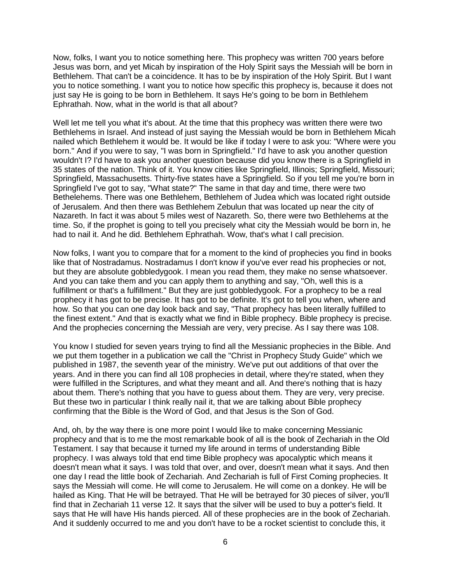Now, folks, I want you to notice something here. This prophecy was written 700 years before Jesus was born, and yet Micah by inspiration of the Holy Spirit says the Messiah will be born in Bethlehem. That can't be a coincidence. It has to be by inspiration of the Holy Spirit. But I want you to notice something. I want you to notice how specific this prophecy is, because it does not just say He is going to be born in Bethlehem. It says He's going to be born in Bethlehem Ephrathah. Now, what in the world is that all about?

Well let me tell you what it's about. At the time that this prophecy was written there were two Bethlehems in Israel. And instead of just saying the Messiah would be born in Bethlehem Micah nailed which Bethlehem it would be. It would be like if today I were to ask you: "Where were you born." And if you were to say, "I was born in Springfield." I'd have to ask you another question wouldn't I? I'd have to ask you another question because did you know there is a Springfield in 35 states of the nation. Think of it. You know cities like Springfield, Illinois; Springfield, Missouri; Springfield, Massachusetts. Thirty-five states have a Springfield. So if you tell me you're born in Springfield I've got to say, "What state?" The same in that day and time, there were two Bethelehems. There was one Bethlehem, Bethlehem of Judea which was located right outside of Jerusalem. And then there was Bethlehem Zebulun that was located up near the city of Nazareth. In fact it was about 5 miles west of Nazareth. So, there were two Bethlehems at the time. So, if the prophet is going to tell you precisely what city the Messiah would be born in, he had to nail it. And he did. Bethlehem Ephrathah. Wow, that's what I call precision.

Now folks, I want you to compare that for a moment to the kind of prophecies you find in books like that of Nostradamus. Nostradamus I don't know if you've ever read his prophecies or not, but they are absolute gobbledygook. I mean you read them, they make no sense whatsoever. And you can take them and you can apply them to anything and say, "Oh, well this is a fulfillment or that's a fulfillment." But they are just gobbledygook. For a prophecy to be a real prophecy it has got to be precise. It has got to be definite. It's got to tell you when, where and how. So that you can one day look back and say, "That prophecy has been literally fulfilled to the finest extent." And that is exactly what we find in Bible prophecy. Bible prophecy is precise. And the prophecies concerning the Messiah are very, very precise. As I say there was 108.

You know I studied for seven years trying to find all the Messianic prophecies in the Bible. And we put them together in a publication we call the "Christ in Prophecy Study Guide" which we published in 1987, the seventh year of the ministry. We've put out additions of that over the years. And in there you can find all 108 prophecies in detail, where they're stated, when they were fulfilled in the Scriptures, and what they meant and all. And there's nothing that is hazy about them. There's nothing that you have to guess about them. They are very, very precise. But these two in particular I think really nail it, that we are talking about Bible prophecy confirming that the Bible is the Word of God, and that Jesus is the Son of God.

And, oh, by the way there is one more point I would like to make concerning Messianic prophecy and that is to me the most remarkable book of all is the book of Zechariah in the Old Testament. I say that because it turned my life around in terms of understanding Bible prophecy. I was always told that end time Bible prophecy was apocalyptic which means it doesn't mean what it says. I was told that over, and over, doesn't mean what it says. And then one day I read the little book of Zechariah. And Zechariah is full of First Coming prophecies. It says the Messiah will come. He will come to Jerusalem. He will come on a donkey. He will be hailed as King. That He will be betrayed. That He will be betrayed for 30 pieces of silver, you'll find that in Zechariah 11 verse 12. It says that the silver will be used to buy a potter's field. It says that He will have His hands pierced. All of these prophecies are in the book of Zechariah. And it suddenly occurred to me and you don't have to be a rocket scientist to conclude this, it